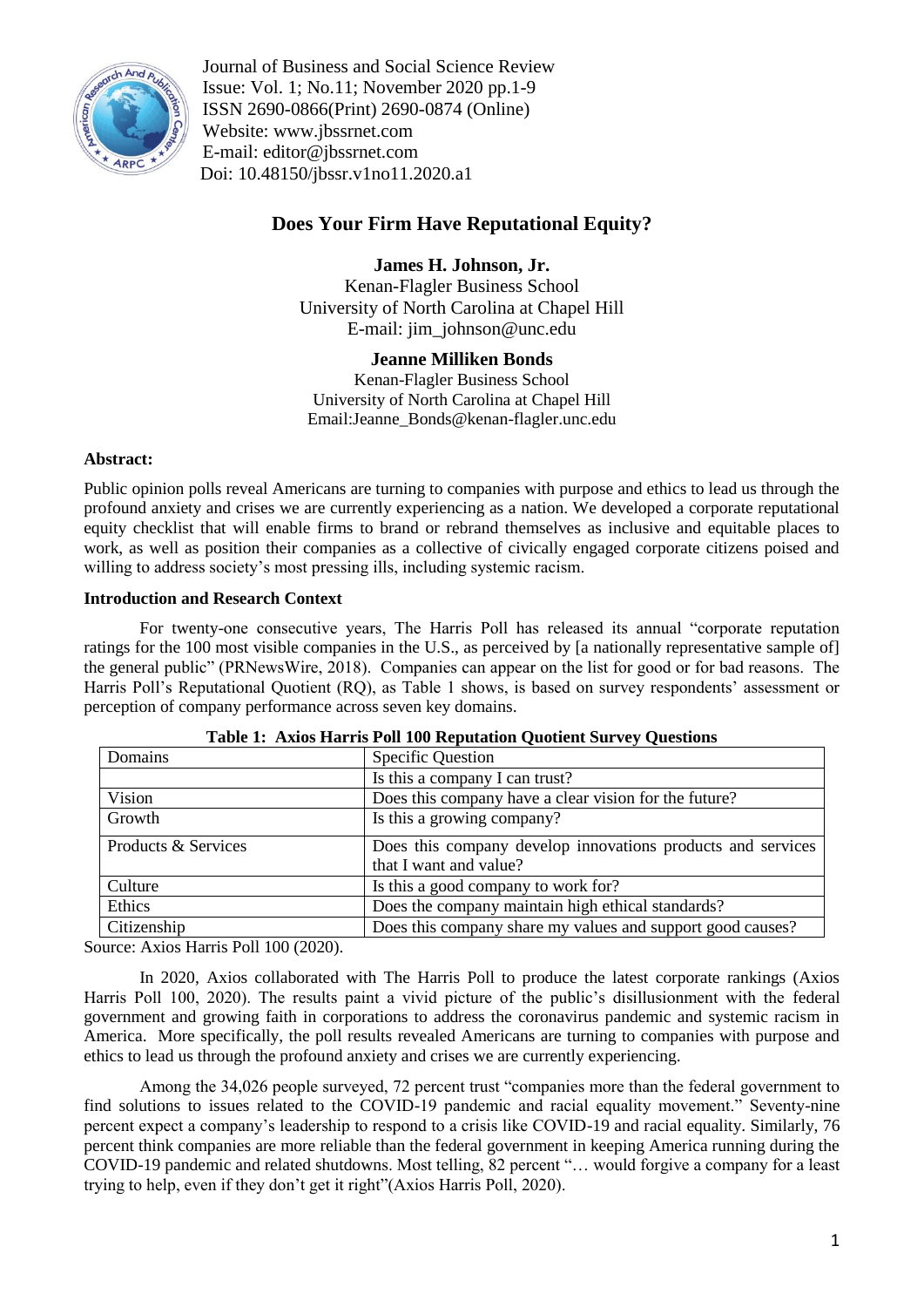

Journal of Business and Social Science Review Issue: Vol. 1; No.11; November 2020 pp.1-9 ISSN 2690-0866(Print) 2690-0874 (Online) Website: www.jbssrnet.com E-mail: editor@jbssrnet.com Doi: 10.48150/jbssr.v1no11.2020.a1

# **Does Your Firm Have Reputational Equity?**

**James H. Johnson, Jr.** Kenan-Flagler Business School

University of North Carolina at Chapel Hill E-mail: jim\_johnson@unc.edu

# **Jeanne Milliken Bonds**

Kenan-Flagler Business School University of North Carolina at Chapel Hill Email:Jeanne\_Bonds@kenan-flagler.unc.edu

# **Abstract:**

Public opinion polls reveal Americans are turning to companies with purpose and ethics to lead us through the profound anxiety and crises we are currently experiencing as a nation. We developed a corporate reputational equity checklist that will enable firms to brand or rebrand themselves as inclusive and equitable places to work, as well as position their companies as a collective of civically engaged corporate citizens poised and willing to address society's most pressing ills, including systemic racism.

# **Introduction and Research Context**

For twenty-one consecutive years, The Harris Poll has released its annual "corporate reputation" ratings for the 100 most visible companies in the U.S., as perceived by [a nationally representative sample of] the general public" (PRNewsWire, 2018). Companies can appear on the list for good or for bad reasons. The Harris Poll's Reputational Quotient (RQ), as Table 1 shows, is based on survey respondents' assessment or perception of company performance across seven key domains.

| Domains<br><b>Specific Question</b> |                     |                                                                                       |
|-------------------------------------|---------------------|---------------------------------------------------------------------------------------|
|                                     |                     | Is this a company I can trust?                                                        |
|                                     | Vision              | Does this company have a clear vision for the future?                                 |
|                                     | Growth              | Is this a growing company?                                                            |
|                                     | Products & Services | Does this company develop innovations products and services<br>that I want and value? |
|                                     | Culture             | Is this a good company to work for?                                                   |
|                                     | Ethics              | Does the company maintain high ethical standards?                                     |
|                                     | Citizenship         | Does this company share my values and support good causes?                            |

| Table 1: Axios Harris Poll 100 Reputation Quotient Survey Questions |  |  |  |
|---------------------------------------------------------------------|--|--|--|
|---------------------------------------------------------------------|--|--|--|

Source: Axios Harris Poll 100 (2020).

In 2020, Axios collaborated with The Harris Poll to produce the latest corporate rankings (Axios Harris Poll 100, 2020). The results paint a vivid picture of the public's disillusionment with the federal government and growing faith in corporations to address the coronavirus pandemic and systemic racism in America. More specifically, the poll results revealed Americans are turning to companies with purpose and ethics to lead us through the profound anxiety and crises we are currently experiencing.

Among the 34,026 people surveyed, 72 percent trust "companies more than the federal government to find solutions to issues related to the COVID-19 pandemic and racial equality movement." Seventy-nine percent expect a company's leadership to respond to a crisis like COVID-19 and racial equality. Similarly, 76 percent think companies are more reliable than the federal government in keeping America running during the COVID-19 pandemic and related shutdowns. Most telling, 82 percent "... would forgive a company for a least trying to help, even if they don't get it right"(Axios Harris Poll, 2020).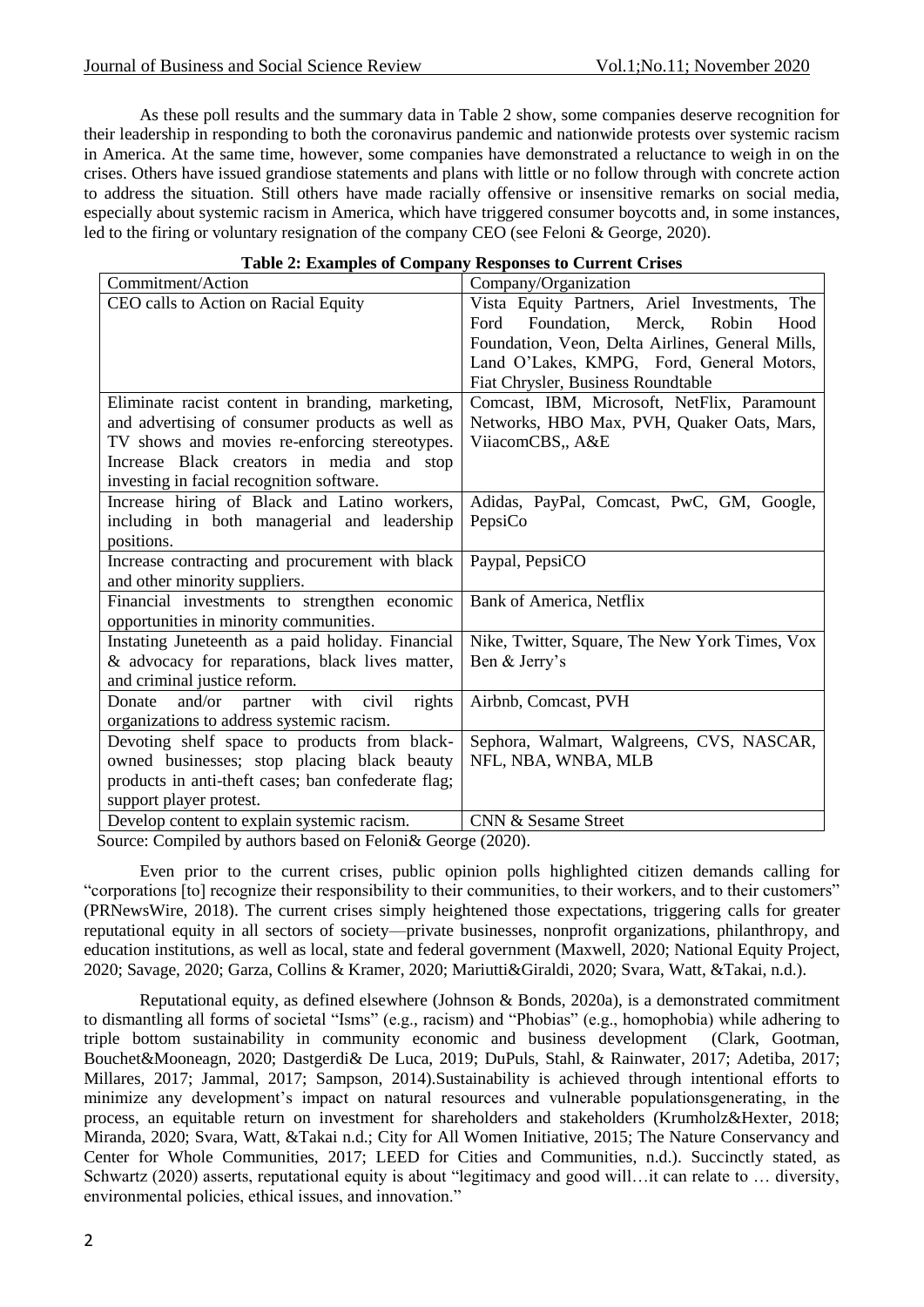As these poll results and the summary data in Table 2 show, some companies deserve recognition for their leadership in responding to both the coronavirus pandemic and nationwide protests over systemic racism in America. At the same time, however, some companies have demonstrated a reluctance to weigh in on the crises. Others have issued grandiose statements and plans with little or no follow through with concrete action to address the situation. Still others have made racially offensive or insensitive remarks on social media, especially about systemic racism in America, which have triggered consumer boycotts and, in some instances, led to the firing or voluntary resignation of the company CEO (see Feloni & George, 2020).

## **Table 2: Examples of Company Responses to Current Crises**

| Commitment/Action                                   | Company/Organization                             |
|-----------------------------------------------------|--------------------------------------------------|
| CEO calls to Action on Racial Equity                | Vista Equity Partners, Ariel Investments, The    |
|                                                     | Foundation,<br>Merck,<br>Ford<br>Robin<br>Hood   |
|                                                     | Foundation, Veon, Delta Airlines, General Mills, |
|                                                     | Land O'Lakes, KMPG, Ford, General Motors,        |
|                                                     | Fiat Chrysler, Business Roundtable               |
| Eliminate racist content in branding, marketing,    | Comcast, IBM, Microsoft, NetFlix, Paramount      |
| and advertising of consumer products as well as     | Networks, HBO Max, PVH, Quaker Oats, Mars,       |
| TV shows and movies re-enforcing stereotypes.       | ViiacomCBS,, A&E                                 |
| Increase Black creators in media and stop           |                                                  |
| investing in facial recognition software.           |                                                  |
| Increase hiring of Black and Latino workers,        | Adidas, PayPal, Comcast, PwC, GM, Google,        |
| including in both managerial and leadership         | PepsiCo                                          |
| positions.                                          |                                                  |
| Increase contracting and procurement with black     | Paypal, PepsiCO                                  |
| and other minority suppliers.                       |                                                  |
| Financial investments to strengthen economic        | Bank of America, Netflix                         |
| opportunities in minority communities.              |                                                  |
| Instating Juneteenth as a paid holiday. Financial   | Nike, Twitter, Square, The New York Times, Vox   |
| & advocacy for reparations, black lives matter,     | Ben & Jerry's                                    |
| and criminal justice reform.                        |                                                  |
| Donate and/or partner with<br>civil<br>rights       | Airbnb, Comcast, PVH                             |
| organizations to address systemic racism.           |                                                  |
| Devoting shelf space to products from black-        | Sephora, Walmart, Walgreens, CVS, NASCAR,        |
| owned businesses; stop placing black beauty         | NFL, NBA, WNBA, MLB                              |
| products in anti-theft cases; ban confederate flag; |                                                  |
| support player protest.                             |                                                  |
| Develop content to explain systemic racism.         | <b>CNN &amp; Sesame Street</b>                   |

Source: Compiled by authors based on Feloni& George (2020).

Even prior to the current crises, public opinion polls highlighted citizen demands calling for "corporations [to] recognize their responsibility to their communities, to their workers, and to their customers" (PRNewsWire, 2018). The current crises simply heightened those expectations, triggering calls for greater reputational equity in all sectors of society—private businesses, nonprofit organizations, philanthropy, and education institutions, as well as local, state and federal government (Maxwell, 2020; National Equity Project, 2020; Savage, 2020; Garza, Collins & Kramer, 2020; Mariutti&Giraldi, 2020; Svara, Watt, &Takai, n.d.).

Reputational equity, as defined elsewhere (Johnson & Bonds, 2020a), is a demonstrated commitment to dismantling all forms of societal "Isms" (e.g., racism) and "Phobias" (e.g., homophobia) while adhering to triple bottom sustainability in community economic and business development (Clark, Gootman, Bouchet&Mooneagn, 2020; Dastgerdi& De Luca, 2019; DuPuls, Stahl, & Rainwater, 2017; Adetiba, 2017; Millares, 2017; Jammal, 2017; Sampson, 2014).Sustainability is achieved through intentional efforts to minimize any development's impact on natural resources and vulnerable populationsgenerating, in the process, an equitable return on investment for shareholders and stakeholders (Krumholz&Hexter, 2018; Miranda, 2020; Svara, Watt, &Takai n.d.; City for All Women Initiative, 2015; The Nature Conservancy and Center for Whole Communities, 2017; LEED for Cities and Communities, n.d.). Succinctly stated, as Schwartz (2020) asserts, reputational equity is about "legitimacy and good will...it can relate to ... diversity, environmental policies, ethical issues, and innovation."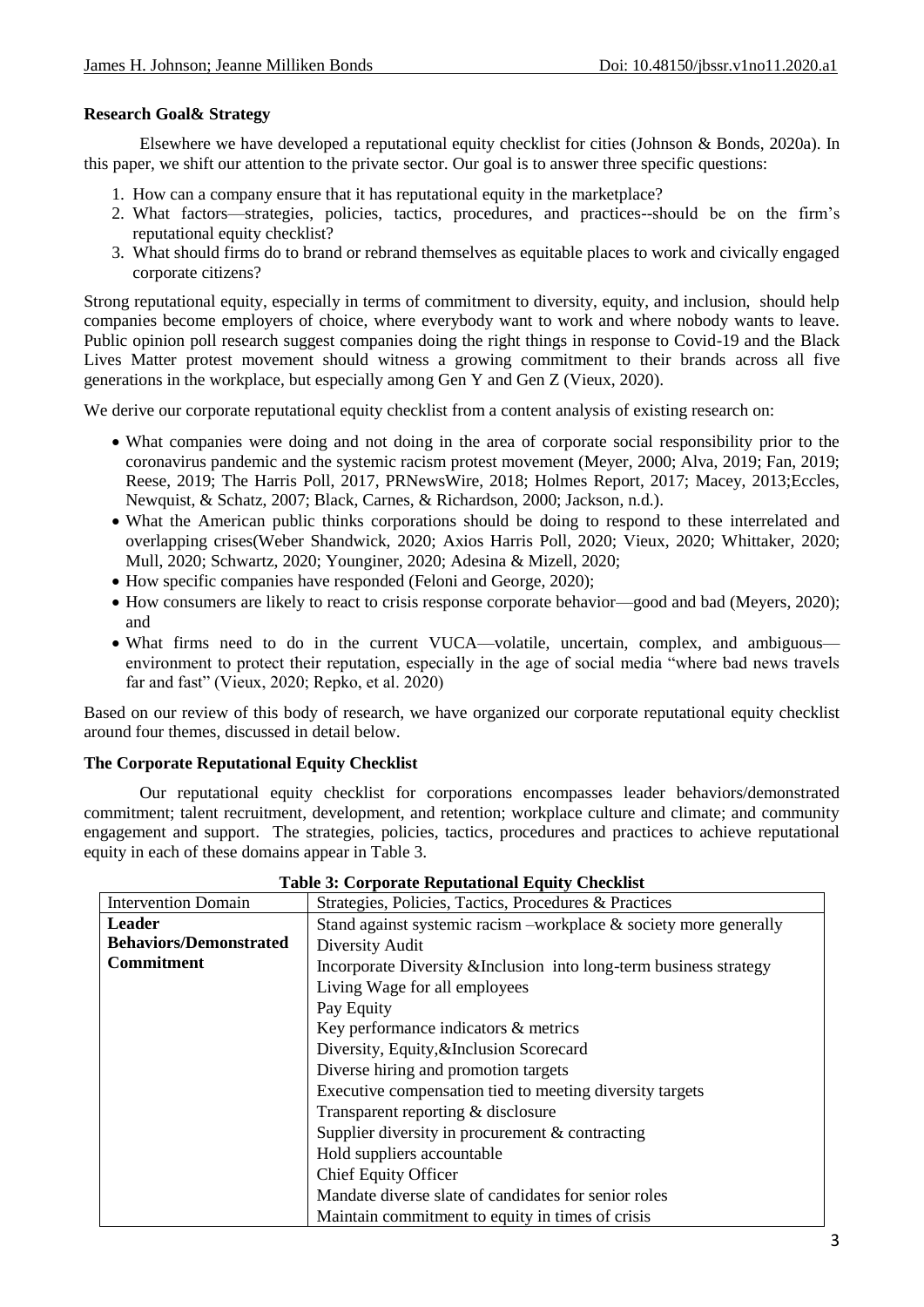## **Research Goal& Strategy**

Elsewhere we have developed a reputational equity checklist for cities (Johnson & Bonds, 2020a). In this paper, we shift our attention to the private sector. Our goal is to answer three specific questions:

- 1. How can a company ensure that it has reputational equity in the marketplace?
- 2. What factors—strategies, policies, tactics, procedures, and practices--should be on the firm's reputational equity checklist?
- 3. What should firms do to brand or rebrand themselves as equitable places to work and civically engaged corporate citizens?

Strong reputational equity, especially in terms of commitment to diversity, equity, and inclusion, should help companies become employers of choice, where everybody want to work and where nobody wants to leave. Public opinion poll research suggest companies doing the right things in response to Covid-19 and the Black Lives Matter protest movement should witness a growing commitment to their brands across all five generations in the workplace, but especially among Gen Y and Gen Z (Vieux, 2020).

We derive our corporate reputational equity checklist from a content analysis of existing research on:

- What companies were doing and not doing in the area of corporate social responsibility prior to the coronavirus pandemic and the systemic racism protest movement (Meyer, 2000; Alva, 2019; Fan, 2019; Reese, 2019; The Harris Poll, 2017, PRNewsWire, 2018; Holmes Report, 2017; Macey, 2013;Eccles, Newquist, & Schatz, 2007; Black, Carnes, & Richardson, 2000; Jackson, n.d.).
- What the American public thinks corporations should be doing to respond to these interrelated and overlapping crises(Weber Shandwick, 2020; Axios Harris Poll, 2020; Vieux, 2020; Whittaker, 2020; Mull, 2020; Schwartz, 2020; Younginer, 2020; Adesina & Mizell, 2020;
- How specific companies have responded (Feloni and George, 2020);
- How consumers are likely to react to crisis response corporate behavior—good and bad (Meyers, 2020); and
- What firms need to do in the current VUCA—volatile, uncertain, complex, and ambiguous environment to protect their reputation, especially in the age of social media "where bad news travels" far and fast" (Vieux, 2020; Repko, et al. 2020)

Based on our review of this body of research, we have organized our corporate reputational equity checklist around four themes, discussed in detail below.

# **The Corporate Reputational Equity Checklist**

Our reputational equity checklist for corporations encompasses leader behaviors/demonstrated commitment; talent recruitment, development, and retention; workplace culture and climate; and community engagement and support. The strategies, policies, tactics, procedures and practices to achieve reputational equity in each of these domains appear in Table 3.

| <b>Intervention Domain</b>    | Strategies, Policies, Tactics, Procedures & Practices                |  |
|-------------------------------|----------------------------------------------------------------------|--|
| <b>Leader</b>                 | Stand against systemic racism –workplace $\&$ society more generally |  |
| <b>Behaviors/Demonstrated</b> | Diversity Audit                                                      |  |
| <b>Commitment</b>             | Incorporate Diversity & Inclusion into long-term business strategy   |  |
|                               | Living Wage for all employees                                        |  |
|                               | Pay Equity                                                           |  |
|                               | Key performance indicators & metrics                                 |  |
|                               | Diversity, Equity, & Inclusion Scorecard                             |  |
|                               | Diverse hiring and promotion targets                                 |  |
|                               | Executive compensation tied to meeting diversity targets             |  |
|                               | Transparent reporting & disclosure                                   |  |
|                               | Supplier diversity in procurement $&$ contracting                    |  |
|                               | Hold suppliers accountable                                           |  |
|                               | <b>Chief Equity Officer</b>                                          |  |
|                               | Mandate diverse slate of candidates for senior roles                 |  |
|                               | Maintain commitment to equity in times of crisis                     |  |

|  |  | <b>Table 3: Corporate Reputational Equity Checklist</b> |  |  |
|--|--|---------------------------------------------------------|--|--|
|--|--|---------------------------------------------------------|--|--|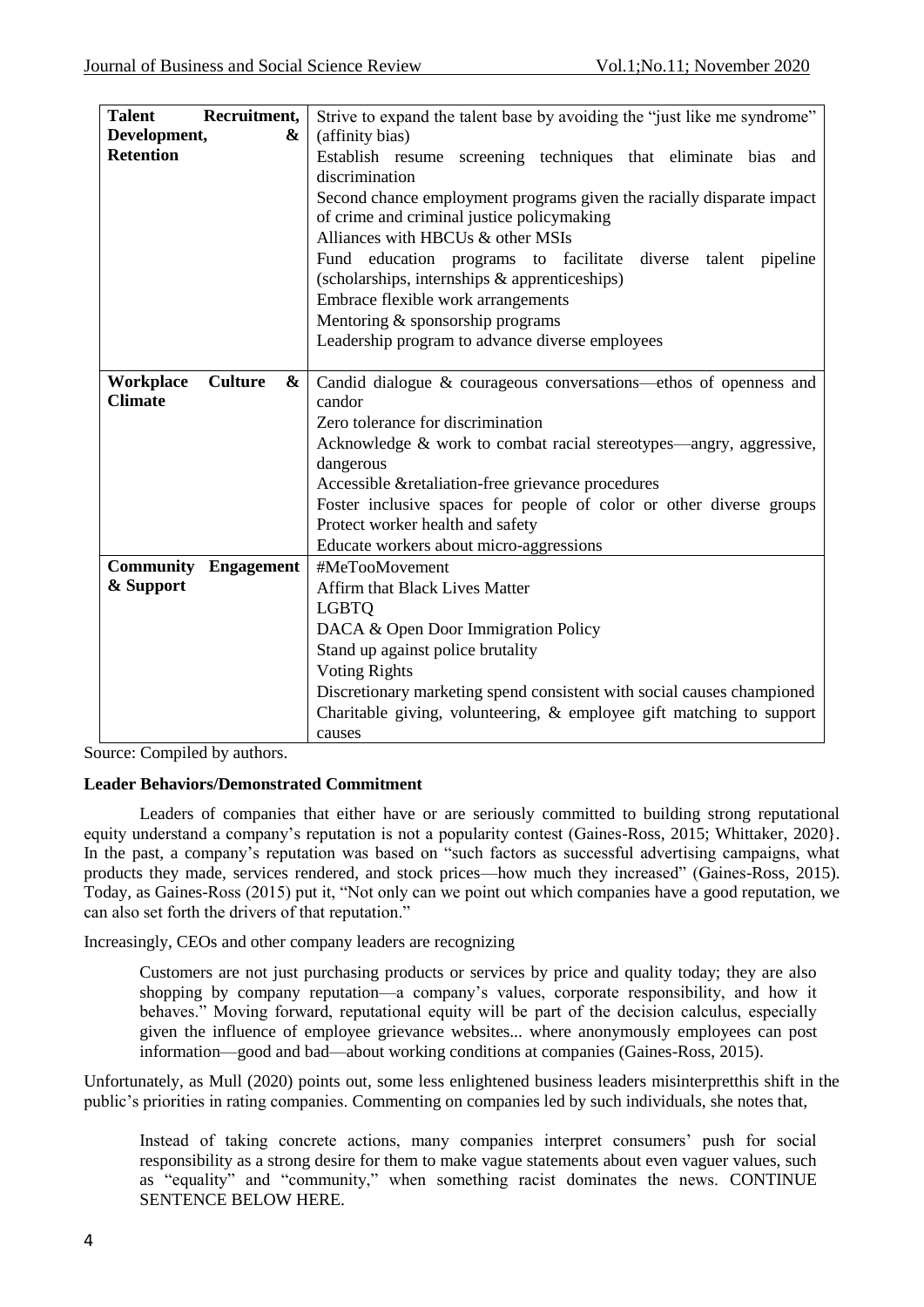| <b>Talent</b>     | Recruitment,                | Strive to expand the talent base by avoiding the "just like me syndrome" |
|-------------------|-----------------------------|--------------------------------------------------------------------------|
| Development,<br>& |                             | (affinity bias)                                                          |
| <b>Retention</b>  |                             | Establish resume screening techniques that eliminate bias and            |
|                   |                             | discrimination                                                           |
|                   |                             | Second chance employment programs given the racially disparate impact    |
|                   |                             | of crime and criminal justice policymaking                               |
|                   |                             | Alliances with HBCUs & other MSIs                                        |
|                   |                             | Fund education programs to facilitate<br>diverse<br>talent pipeline      |
|                   |                             | (scholarships, internships & apprenticeships)                            |
|                   |                             | Embrace flexible work arrangements                                       |
|                   |                             | Mentoring & sponsorship programs                                         |
|                   |                             | Leadership program to advance diverse employees                          |
|                   |                             |                                                                          |
| Workplace         | <b>Culture</b><br>&         | Candid dialogue & courageous conversations—ethos of openness and         |
| <b>Climate</b>    |                             | candor                                                                   |
|                   |                             | Zero tolerance for discrimination                                        |
|                   |                             | Acknowledge & work to combat racial stereotypes—angry, aggressive,       |
|                   |                             | dangerous                                                                |
|                   |                             | Accessible & retaliation-free grievance procedures                       |
|                   |                             | Foster inclusive spaces for people of color or other diverse groups      |
|                   |                             | Protect worker health and safety                                         |
|                   |                             | Educate workers about micro-aggressions                                  |
|                   | <b>Community Engagement</b> | #MeTooMovement                                                           |
| & Support         |                             | <b>Affirm that Black Lives Matter</b>                                    |
|                   |                             | <b>LGBTQ</b>                                                             |
|                   |                             | DACA & Open Door Immigration Policy                                      |
|                   |                             | Stand up against police brutality                                        |
|                   |                             | <b>Voting Rights</b>                                                     |
|                   |                             | Discretionary marketing spend consistent with social causes championed   |
|                   |                             | Charitable giving, volunteering, $\&$ employee gift matching to support  |
|                   |                             | causes                                                                   |

Source: Compiled by authors.

## **Leader Behaviors/Demonstrated Commitment**

Leaders of companies that either have or are seriously committed to building strong reputational equity understand a company's reputation is not a popularity contest (Gaines-Ross, 2015; Whittaker, 2020}. In the past, a company's reputation was based on "such factors as successful advertising campaigns, what products they made, services rendered, and stock prices—how much they increased" (Gaines-Ross, 2015). Today, as Gaines-Ross (2015) put it, "Not only can we point out which companies have a good reputation, we can also set forth the drivers of that reputation."

Increasingly, CEOs and other company leaders are recognizing

Customers are not just purchasing products or services by price and quality today; they are also shopping by company reputation—a company's values, corporate responsibility, and how it behaves." Moving forward, reputational equity will be part of the decision calculus, especially given the influence of employee grievance websites... where anonymously employees can post information—good and bad—about working conditions at companies (Gaines-Ross, 2015).

Unfortunately, as Mull (2020) points out, some less enlightened business leaders misinterpretthis shift in the public's priorities in rating companies. Commenting on companies led by such individuals, she notes that,

Instead of taking concrete actions, many companies interpret consumers' push for social responsibility as a strong desire for them to make vague statements about even vaguer values, such as "equality" and "community," when something racist dominates the news. CONTINUE SENTENCE BELOW HERE.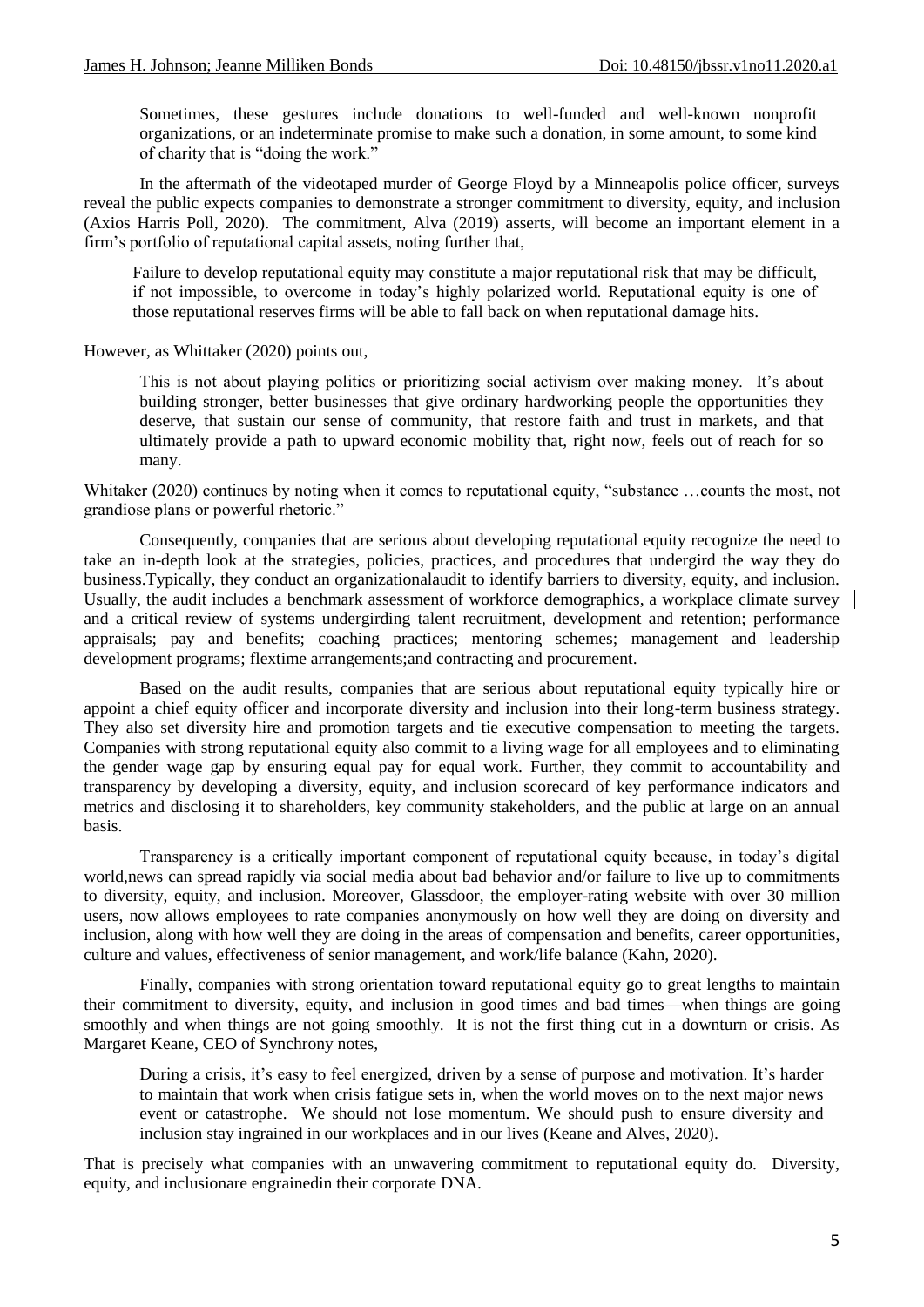Sometimes, these gestures include donations to well-funded and well-known nonprofit organizations, or an indeterminate promise to make such a donation, in some amount, to some kind of charity that is "doing the work."

In the aftermath of the videotaped murder of George Floyd by a Minneapolis police officer, surveys reveal the public expects companies to demonstrate a stronger commitment to diversity, equity, and inclusion (Axios Harris Poll, 2020). The commitment, Alva (2019) asserts, will become an important element in a firm's portfolio of reputational capital assets, noting further that,

Failure to develop reputational equity may constitute a major reputational risk that may be difficult, if not impossible, to overcome in today's highly polarized world. Reputational equity is one of those reputational reserves firms will be able to fall back on when reputational damage hits.

However, as Whittaker (2020) points out,

This is not about playing politics or prioritizing social activism over making money. It's about building stronger, better businesses that give ordinary hardworking people the opportunities they deserve, that sustain our sense of community, that restore faith and trust in markets, and that ultimately provide a path to upward economic mobility that, right now, feels out of reach for so many.

Whitaker (2020) continues by noting when it comes to reputational equity, "substance ...counts the most, not grandiose plans or powerful rhetoric."

Consequently, companies that are serious about developing reputational equity recognize the need to take an in-depth look at the strategies, policies, practices, and procedures that undergird the way they do business.Typically, they conduct an organizationalaudit to identify barriers to diversity, equity, and inclusion. Usually, the audit includes a benchmark assessment of workforce demographics, a workplace climate survey | and a critical review of systems undergirding talent recruitment, development and retention; performance appraisals; pay and benefits; coaching practices; mentoring schemes; management and leadership development programs; flextime arrangements;and contracting and procurement.

Based on the audit results, companies that are serious about reputational equity typically hire or appoint a chief equity officer and incorporate diversity and inclusion into their long-term business strategy. They also set diversity hire and promotion targets and tie executive compensation to meeting the targets. Companies with strong reputational equity also commit to a living wage for all employees and to eliminating the gender wage gap by ensuring equal pay for equal work. Further, they commit to accountability and transparency by developing a diversity, equity, and inclusion scorecard of key performance indicators and metrics and disclosing it to shareholders, key community stakeholders, and the public at large on an annual basis.

Transparency is a critically important component of reputational equity because, in today's digital world,news can spread rapidly via social media about bad behavior and/or failure to live up to commitments to diversity, equity, and inclusion. Moreover, Glassdoor, the employer-rating website with over 30 million users, now allows employees to rate companies anonymously on how well they are doing on diversity and inclusion, along with how well they are doing in the areas of compensation and benefits, career opportunities, culture and values, effectiveness of senior management, and work/life balance (Kahn, 2020).

Finally, companies with strong orientation toward reputational equity go to great lengths to maintain their commitment to diversity, equity, and inclusion in good times and bad times—when things are going smoothly and when things are not going smoothly. It is not the first thing cut in a downturn or crisis. As Margaret Keane, CEO of Synchrony notes,

During a crisis, it's easy to feel energized, driven by a sense of purpose and motivation. It's harder to maintain that work when crisis fatigue sets in, when the world moves on to the next major news event or catastrophe. We should not lose momentum. We should push to ensure diversity and inclusion stay ingrained in our workplaces and in our lives (Keane and Alves, 2020).

That is precisely what companies with an unwavering commitment to reputational equity do. Diversity, equity, and inclusionare engrainedin their corporate DNA.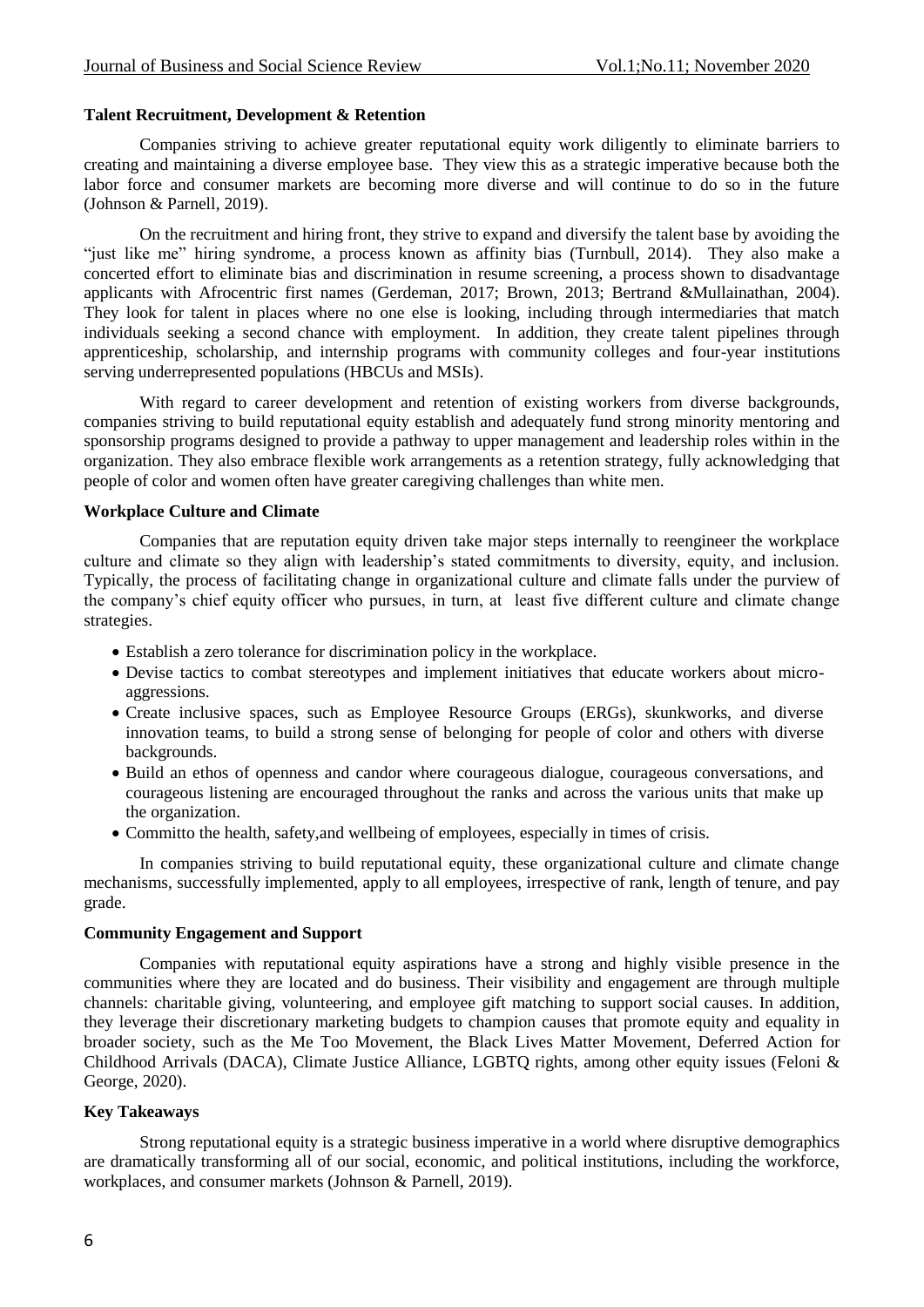#### **Talent Recruitment, Development & Retention**

Companies striving to achieve greater reputational equity work diligently to eliminate barriers to creating and maintaining a diverse employee base. They view this as a strategic imperative because both the labor force and consumer markets are becoming more diverse and will continue to do so in the future (Johnson & Parnell, 2019).

On the recruitment and hiring front, they strive to expand and diversify the talent base by avoiding the "just like me" hiring syndrome, a process known as affinity bias (Turnbull, 2014). They also make a concerted effort to eliminate bias and discrimination in resume screening, a process shown to disadvantage applicants with Afrocentric first names (Gerdeman, 2017; Brown, 2013; Bertrand &Mullainathan, 2004). They look for talent in places where no one else is looking, including through intermediaries that match individuals seeking a second chance with employment. In addition, they create talent pipelines through apprenticeship, scholarship, and internship programs with community colleges and four-year institutions serving underrepresented populations (HBCUs and MSIs).

With regard to career development and retention of existing workers from diverse backgrounds, companies striving to build reputational equity establish and adequately fund strong minority mentoring and sponsorship programs designed to provide a pathway to upper management and leadership roles within in the organization. They also embrace flexible work arrangements as a retention strategy, fully acknowledging that people of color and women often have greater caregiving challenges than white men.

## **Workplace Culture and Climate**

Companies that are reputation equity driven take major steps internally to reengineer the workplace culture and climate so they align with leadership's stated commitments to diversity, equity, and inclusion. Typically, the process of facilitating change in organizational culture and climate falls under the purview of the company's chief equity officer who pursues, in turn, at least five different culture and climate change strategies.

- Establish a zero tolerance for discrimination policy in the workplace.
- Devise tactics to combat stereotypes and implement initiatives that educate workers about microaggressions.
- Create inclusive spaces, such as Employee Resource Groups (ERGs), skunkworks, and diverse innovation teams, to build a strong sense of belonging for people of color and others with diverse backgrounds.
- Build an ethos of openness and candor where courageous dialogue, courageous conversations, and courageous listening are encouraged throughout the ranks and across the various units that make up the organization.
- Committo the health, safety,and wellbeing of employees, especially in times of crisis.

In companies striving to build reputational equity, these organizational culture and climate change mechanisms, successfully implemented, apply to all employees, irrespective of rank, length of tenure, and pay grade.

## **Community Engagement and Support**

Companies with reputational equity aspirations have a strong and highly visible presence in the communities where they are located and do business. Their visibility and engagement are through multiple channels: charitable giving, volunteering, and employee gift matching to support social causes. In addition, they leverage their discretionary marketing budgets to champion causes that promote equity and equality in broader society, such as the Me Too Movement, the Black Lives Matter Movement, Deferred Action for Childhood Arrivals (DACA), Climate Justice Alliance, LGBTQ rights, among other equity issues (Feloni & George, 2020).

## **Key Takeaways**

Strong reputational equity is a strategic business imperative in a world where disruptive demographics are dramatically transforming all of our social, economic, and political institutions, including the workforce, workplaces, and consumer markets (Johnson & Parnell, 2019).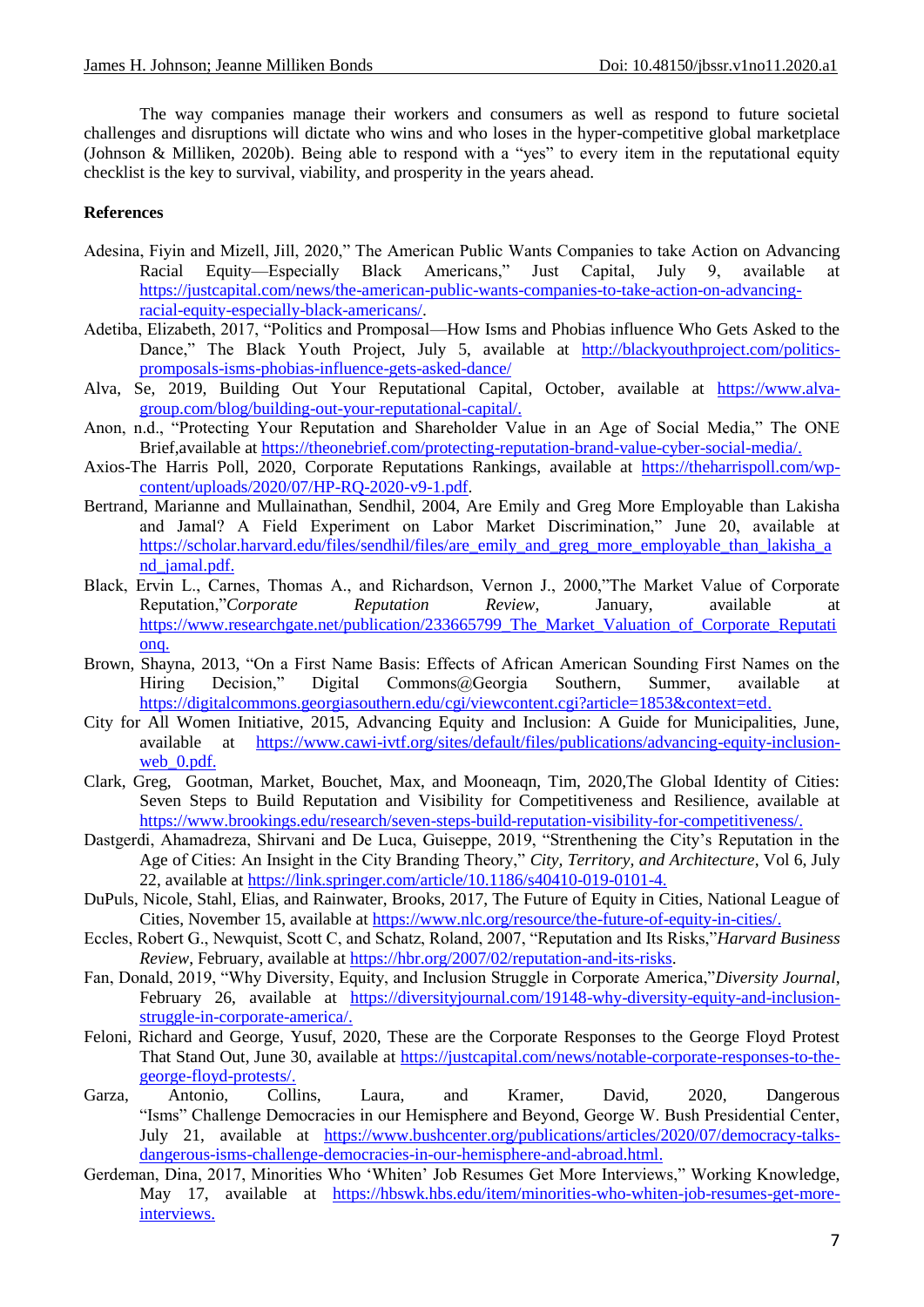The way companies manage their workers and consumers as well as respond to future societal challenges and disruptions will dictate who wins and who loses in the hyper-competitive global marketplace (Johnson & Milliken, 2020b). Being able to respond with a "yes" to every item in the reputational equity checklist is the key to survival, viability, and prosperity in the years ahead.

## **References**

- Adesina, Fiyin and Mizell, Jill, 2020," The American Public Wants Companies to take Action on Advancing Racial Equity—Especially Black Americans," Just Capital, July 9, available at [https://justcapital.com/news/the-american-public-wants-companies-to-take-action-on-advancing](https://justcapital.com/news/the-american-public-wants-companies-to-take-action-on-advancing-racial-equity-especially-black-americans/)[racial-equity-especially-black-americans/.](https://justcapital.com/news/the-american-public-wants-companies-to-take-action-on-advancing-racial-equity-especially-black-americans/)
- Adetiba, Elizabeth, 2017, "Politics and Promposal—How Isms and Phobias influence Who Gets Asked to the Dance," The Black Youth Project, July 5, available at [http://blackyouthproject.com/politics](http://blackyouthproject.com/politics-promposals-isms-phobias-influence-gets-asked-dance/)[promposals-isms-phobias-influence-gets-asked-dance/](http://blackyouthproject.com/politics-promposals-isms-phobias-influence-gets-asked-dance/)
- Alva, Se, 2019, Building Out Your Reputational Capital, October, available at [https://www.alva](https://www.alva-group.com/blog/building-out-your-reputational-capital/)[group.com/blog/building-out-your-reputational-capital/.](https://www.alva-group.com/blog/building-out-your-reputational-capital/)
- Anon, n.d., "Protecting Your Reputation and Shareholder Value in an Age of Social Media," The ONE Brief,available at [https://theonebrief.com/protecting-reputation-brand-value-cyber-social-media/.](https://theonebrief.com/protecting-reputation-brand-value-cyber-social-media/)
- Axios-The Harris Poll, 2020, Corporate Reputations Rankings, available at [https://theharrispoll.com/wp](https://theharrispoll.com/wp-content/uploads/2020/07/HP-RQ-2020-v9-1.pdf)[content/uploads/2020/07/HP-RQ-2020-v9-1.pdf.](https://theharrispoll.com/wp-content/uploads/2020/07/HP-RQ-2020-v9-1.pdf)
- Bertrand, Marianne and Mullainathan, Sendhil, 2004, Are Emily and Greg More Employable than Lakisha and Jamal? A Field Experiment on Labor Market Discrimination," June 20, available at [https://scholar.harvard.edu/files/sendhil/files/are\\_emily\\_and\\_greg\\_more\\_employable\\_than\\_lakisha\\_a](https://scholar.harvard.edu/files/sendhil/files/are_emily_and_greg_more_employable_than_lakisha_and_jamal.pdf) nd jamal.pdf.
- Black, Ervin L., Carnes, Thomas A., and Richardson, Vernon J., 2000,"The Market Value of Corporate Reputation,‖*Corporate Reputation Review*, January, available at [https://www.researchgate.net/publication/233665799\\_The\\_Market\\_Valuation\\_of\\_Corporate\\_Reputati](https://www.researchgate.net/publication/233665799_The_Market_Valuation_of_Corporate_Reputation) [onq](https://www.researchgate.net/publication/233665799_The_Market_Valuation_of_Corporate_Reputation).
- Brown, Shayna, 2013, "On a First Name Basis: Effects of African American Sounding First Names on the Hiring Decision," Digital Commons@Georgia Southern, Summer, available at [https://digitalcommons.georgiasouthern.edu/cgi/viewcontent.cgi?article=1853&context=etd.](https://digitalcommons.georgiasouthern.edu/cgi/viewcontent.cgi?article=1853&context=etd)
- City for All Women Initiative, 2015, Advancing Equity and Inclusion: A Guide for Municipalities, June, available at [https://www.cawi-ivtf.org/sites/default/files/publications/advancing-equity-inclusion](https://www.cawi-ivtf.org/sites/default/files/publications/advancing-equity-inclusion-web_0.pdf)web 0.pdf.
- Clark, Greg, Gootman, Market, Bouchet, Max, and Mooneaqn, Tim, 2020,The Global Identity of Cities: Seven Steps to Build Reputation and Visibility for Competitiveness and Resilience, available at [https://www.brookings.edu/research/seven-steps-build-reputation-visibility-for-competitiveness/.](https://www.brookings.edu/research/seven-steps-build-reputation-visibility-for-competitiveness/)
- Dastgerdi, Ahamadreza, Shirvani and De Luca, Guiseppe, 2019, "Strenthening the City's Reputation in the Age of Cities: An Insight in the City Branding Theory," City, Territory, and Architecture, Vol 6, July 22, available at [https://link.springer.com/article/10.1186/s40410-019-0101-4.](https://link.springer.com/article/10.1186/s40410-019-0101-4)
- DuPuls, Nicole, Stahl, Elias, and Rainwater, Brooks, 2017, The Future of Equity in Cities, National League of Cities, November 15, available at [https://www.nlc.org/resource/the-future-of-equity-in-cities/.](https://www.nlc.org/resource/the-future-of-equity-in-cities/)
- Eccles, Robert G., Newquist, Scott C, and Schatz, Roland, 2007, "Reputation and Its Risks,"*Harvard Business Review*, February, available at [https://hbr.org/2007/02/reputation-and-its-risks.](https://hbr.org/2007/02/reputation-and-its-risks)
- Fan, Donald, 2019, "Why Diversity, Equity, and Inclusion Struggle in Corporate America,"*Diversity Journal*, February 26, available at [https://diversityjournal.com/19148-why-diversity-equity-and-inclusion](https://diversityjournal.com/19148-why-diversity-equity-and-inclusion-struggle-in-corporate-america/)[struggle-in-corporate-america/.](https://diversityjournal.com/19148-why-diversity-equity-and-inclusion-struggle-in-corporate-america/)
- Feloni, Richard and George, Yusuf, 2020, These are the Corporate Responses to the George Floyd Protest That Stand Out, June 30, available at [https://justcapital.com/news/notable-corporate-responses-to-the](https://justcapital.com/news/notable-corporate-responses-to-the-george-floyd-protests/)[george-floyd-protests/.](https://justcapital.com/news/notable-corporate-responses-to-the-george-floyd-protests/)
- Garza, Antonio, Collins, Laura, and Kramer, David, 2020, Dangerous "Isms" Challenge Democracies in our Hemisphere and Beyond, George W. Bush Presidential Center, July 21, available at [https://www.bushcenter.org/publications/articles/2020/07/democracy-talks](https://www.bushcenter.org/publications/articles/2020/07/democracy-talks-dangerous-isms-challenge-democracies-in-our-hemisphere-and-abroad.html)[dangerous-isms-challenge-democracies-in-our-hemisphere-and-abroad.html.](https://www.bushcenter.org/publications/articles/2020/07/democracy-talks-dangerous-isms-challenge-democracies-in-our-hemisphere-and-abroad.html)
- Gerdeman, Dina, 2017, Minorities Who 'Whiten' Job Resumes Get More Interviews," Working Knowledge, May 17, available at [https://hbswk.hbs.edu/item/minorities-who-whiten-job-resumes-get-more](https://hbswk.hbs.edu/item/minorities-who-whiten-job-resumes-get-more-interviews)[interviews.](https://hbswk.hbs.edu/item/minorities-who-whiten-job-resumes-get-more-interviews)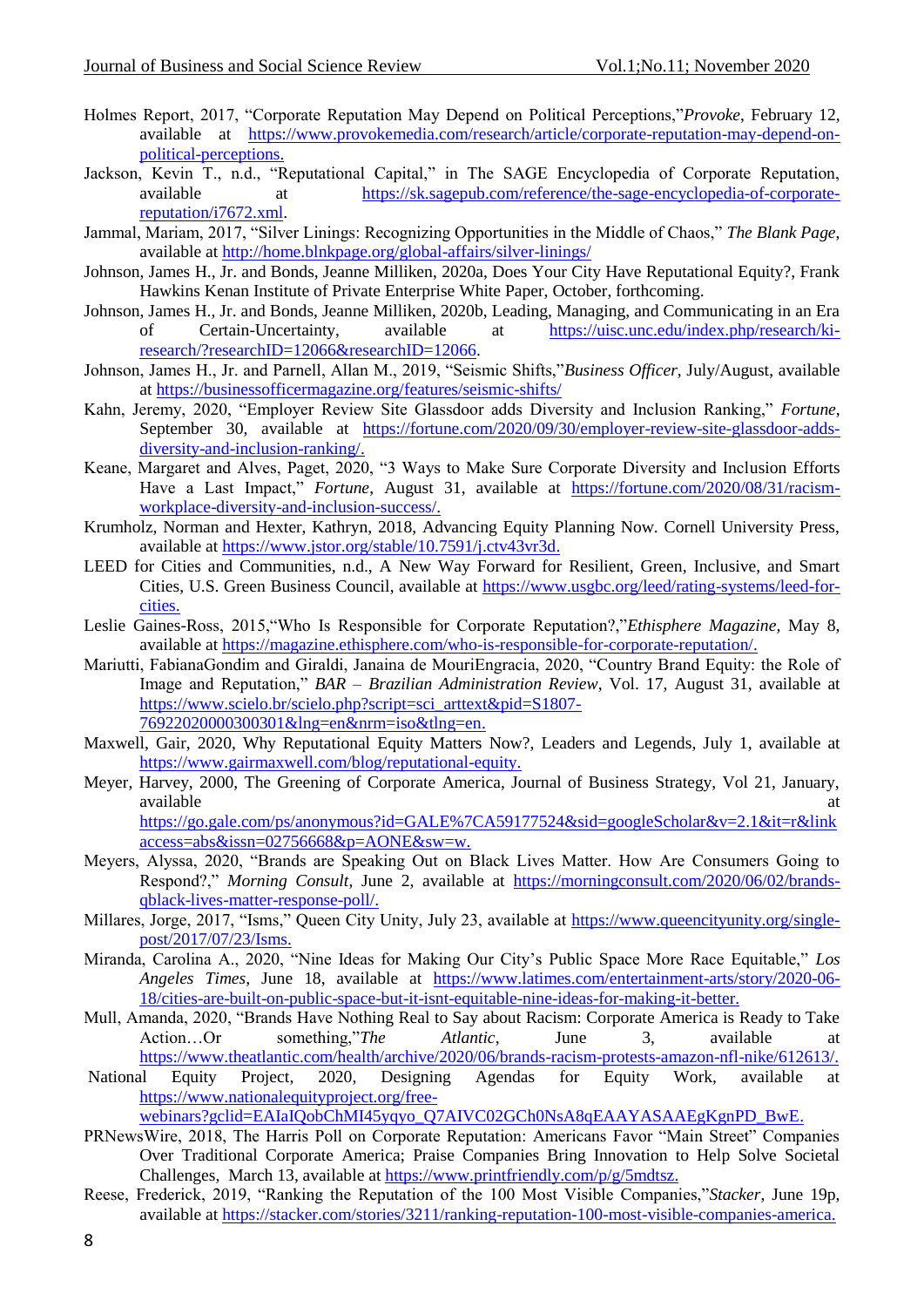- Holmes Report, 2017, "Corporate Reputation May Depend on Political Perceptions," Provoke, February 12, available at [https://www.provokemedia.com/research/article/corporate-reputation-may-depend-on](https://www.provokemedia.com/research/article/corporate-reputation-may-depend-on-political-perceptions)[political-perceptions.](https://www.provokemedia.com/research/article/corporate-reputation-may-depend-on-political-perceptions)
- Jackson, Kevin T., n.d., "Reputational Capital," in The SAGE Encyclopedia of Corporate Reputation, available at [https://sk.sagepub.com/reference/the-sage-encyclopedia-of-corporate](https://sk.sagepub.com/reference/the-sage-encyclopedia-of-corporate-reputation/i7672.xml)[reputation/i7672.xml.](https://sk.sagepub.com/reference/the-sage-encyclopedia-of-corporate-reputation/i7672.xml)
- Jammal, Mariam, 2017, "Silver Linings: Recognizing Opportunities in the Middle of Chaos," The Blank Page, available at<http://home.blnkpage.org/global-affairs/silver-linings/>
- Johnson, James H., Jr. and Bonds, Jeanne Milliken, 2020a, Does Your City Have Reputational Equity?, Frank Hawkins Kenan Institute of Private Enterprise White Paper, October, forthcoming.
- Johnson, James H., Jr. and Bonds, Jeanne Milliken, 2020b, Leading, Managing, and Communicating in an Era of Certain-Uncertainty, available at [https://uisc.unc.edu/index.php/research/ki](https://uisc.unc.edu/index.php/research/ki-research/?researchID=12066&researchID=12066)[research/?researchID=12066&researchID=12066.](https://uisc.unc.edu/index.php/research/ki-research/?researchID=12066&researchID=12066)
- Johnson, James H., Jr. and Parnell, Allan M., 2019, "Seismic Shifts,"*Business Officer*, July/August, available at<https://businessofficermagazine.org/features/seismic-shifts/>
- Kahn, Jeremy, 2020, "Employer Review Site Glassdoor adds Diversity and Inclusion Ranking," *Fortune*, September 30, available at [https://fortune.com/2020/09/30/employer-review-site-glassdoor-adds](https://fortune.com/2020/09/30/employer-review-site-glassdoor-adds-diversity-and-inclusion-ranking/)[diversity-and-inclusion-ranking/.](https://fortune.com/2020/09/30/employer-review-site-glassdoor-adds-diversity-and-inclusion-ranking/)
- Keane, Margaret and Alves, Paget, 2020, "3 Ways to Make Sure Corporate Diversity and Inclusion Efforts Have a Last Impact," *Fortune*, August 31, available at [https://fortune.com/2020/08/31/racism](https://fortune.com/2020/08/31/racism-workplace-diversity-and-inclusion-success/)[workplace-diversity-and-inclusion-success/.](https://fortune.com/2020/08/31/racism-workplace-diversity-and-inclusion-success/)
- Krumholz, Norman and Hexter, Kathryn, 2018, Advancing Equity Planning Now. Cornell University Press, available at [https://www.jstor.org/stable/10.7591/j.ctv43vr3d.](https://www.jstor.org/stable/10.7591/j.ctv43vr3d)
- LEED for Cities and Communities, n.d., A New Way Forward for Resilient, Green, Inclusive, and Smart Cities, U.S. Green Business Council, available at [https://www.usgbc.org/leed/rating-systems/leed-for](https://www.usgbc.org/leed/rating-systems/leed-for-cities)[cities.](https://www.usgbc.org/leed/rating-systems/leed-for-cities)
- Leslie Gaines-Ross, 2015, "Who Is Responsible for Corporate Reputation?,"*Ethisphere Magazine*, May 8, available at [https://magazine.ethisphere.com/who-is-responsible-for-corporate-reputation/.](https://magazine.ethisphere.com/who-is-responsible-for-corporate-reputation/)
- Mariutti, FabianaGondim and Giraldi, Janaina de MouriEngracia, 2020, "Country Brand Equity: the Role of Image and Reputation," *BAR – Brazilian Administration Review*, Vol. 17, August 31, available at [https://www.scielo.br/scielo.php?script=sci\\_arttext&pid=S1807-](https://www.scielo.br/scielo.php?script=sci_arttext&pid=S1807-76922020000300301&lng=en&nrm=iso&tlng=en) [76922020000300301&lng=en&nrm=iso&tlng=en.](https://www.scielo.br/scielo.php?script=sci_arttext&pid=S1807-76922020000300301&lng=en&nrm=iso&tlng=en)
- Maxwell, Gair, 2020, Why Reputational Equity Matters Now?, Leaders and Legends, July 1, available at [https://www.gairmaxwell.com/blog/reputational-equity.](https://www.gairmaxwell.com/blog/reputational-equity)
- Meyer, Harvey, 2000, The Greening of Corporate America, Journal of Business Strategy, Vol 21, January, available at the contract of the contract of the contract of the contract of the contract of the contract of the contract of the contract of the contract of the contract of the contract of the contract of the contract of t [https://go.gale.com/ps/anonymous?id=GALE%7CA59177524&sid=googleScholar&v=2.1&it=r&link](https://go.gale.com/ps/anonymous?id=GALE%7CA59177524&sid=googleScholar&v=2.1&it=r&linkaccess=abs&issn=02756668&p=AONE&sw=w) [access=abs&issn=02756668&p=AONE&sw=w.](https://go.gale.com/ps/anonymous?id=GALE%7CA59177524&sid=googleScholar&v=2.1&it=r&linkaccess=abs&issn=02756668&p=AONE&sw=w)
- Meyers, Alyssa, 2020, "Brands are Speaking Out on Black Lives Matter. How Are Consumers Going to Respond?," *Morning Consult*, June 2, available at [https://morningconsult.com/2020/06/02/brands](https://morningconsult.com/2020/06/02/brands-qblack-lives-matter-response-poll/)[qblack-lives-matter-response-poll/.](https://morningconsult.com/2020/06/02/brands-qblack-lives-matter-response-poll/)
- Millares, Jorge, 2017, "Isms," Queen City Unity, July 23, available at [https://www.queencityunity.org/single](https://www.queencityunity.org/single-post/2017/07/23/Isms)[post/2017/07/23/Isms.](https://www.queencityunity.org/single-post/2017/07/23/Isms)
- Miranda, Carolina A., 2020, "Nine Ideas for Making Our City's Public Space More Race Equitable," Los *Angeles Times*, June 18, available at [https://www.latimes.com/entertainment-arts/story/2020-06-](https://www.latimes.com/entertainment-arts/story/2020-06-18/cities-are-built-on-public-space-but-it-isnt-equitable-nine-ideas-for-making-it-better) [18/cities-are-built-on-public-space-but-it-isnt-equitable-nine-ideas-for-making-it-better.](https://www.latimes.com/entertainment-arts/story/2020-06-18/cities-are-built-on-public-space-but-it-isnt-equitable-nine-ideas-for-making-it-better)
- Mull, Amanda, 2020, "Brands Have Nothing Real to Say about Racism: Corporate America is Ready to Take Action…Or something,"The Atlantic, June 3, available at [https://www.theatlantic.com/health/archive/2020/06/brands-racism-protests-amazon-nfl-nike/612613/.](https://www.theatlantic.com/health/archive/2020/06/brands-racism-protests-amazon-nfl-nike/612613/)
- National Equity Project, 2020, Designing Agendas for Equity Work, available at [https://www.nationalequityproject.org/free-](https://www.nationalequityproject.org/free-webinars?gclid=EAIaIQobChMI45yqyo_Q7AIVC02GCh0NsA8qEAAYASAAEgKgnPD_BwE)

[webinars?gclid=EAIaIQobChMI45yqyo\\_Q7AIVC02GCh0NsA8qEAAYASAAEgKgnPD\\_BwE.](https://www.nationalequityproject.org/free-webinars?gclid=EAIaIQobChMI45yqyo_Q7AIVC02GCh0NsA8qEAAYASAAEgKgnPD_BwE)

- PRNewsWire, 2018, The Harris Poll on Corporate Reputation: Americans Favor "Main Street" Companies Over Traditional Corporate America; Praise Companies Bring Innovation to Help Solve Societal Challenges, March 13, available at [https://www.printfriendly.com/p/g/5mdtsz.](https://www.printfriendly.com/p/g/5mdtsz)
- Reese, Frederick, 2019, "Ranking the Reputation of the 100 Most Visible Companies,"*Stacker*, June 19p, available at [https://stacker.com/stories/3211/ranking-reputation-100-most-visible-companies-america.](https://stacker.com/stories/3211/ranking-reputation-100-most-visible-companies-america)